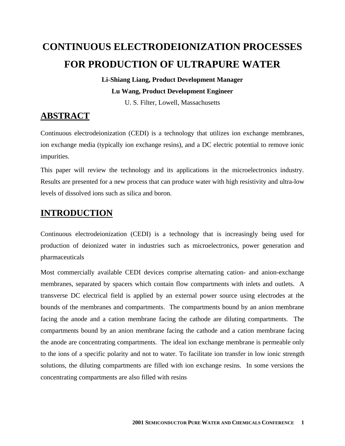# **CONTINUOUS ELECTRODEIONIZATION PROCESSES FOR PRODUCTION OF ULTRAPURE WATER**

# **Li-Shiang Liang, Product Development Manager Lu Wang, Product Development Engineer**

U. S. Filter, Lowell, Massachusetts

# **ABSTRACT**

Continuous electrodeionization (CEDI) is a technology that utilizes ion exchange membranes, ion exchange media (typically ion exchange resins), and a DC electric potential to remove ionic impurities.

This paper will review the technology and its applications in the microelectronics industry. Results are presented for a new process that can produce water with high resistivity and ultra-low levels of dissolved ions such as silica and boron.

# **INTRODUCTION**

Continuous electrodeionization (CEDI) is a technology that is increasingly being used for production of deionized water in industries such as microelectronics, power generation and pharmaceuticals

Most commercially available CEDI devices comprise alternating cation- and anion-exchange membranes, separated by spacers which contain flow compartments with inlets and outlets. A transverse DC electrical field is applied by an external power source using electrodes at the bounds of the membranes and compartments. The compartments bound by an anion membrane facing the anode and a cation membrane facing the cathode are diluting compartments. The compartments bound by an anion membrane facing the cathode and a cation membrane facing the anode are concentrating compartments. The ideal ion exchange membrane is permeable only to the ions of a specific polarity and not to water. To facilitate ion transfer in low ionic strength solutions, the diluting compartments are filled with ion exchange resins. In some versions the concentrating compartments are also filled with resins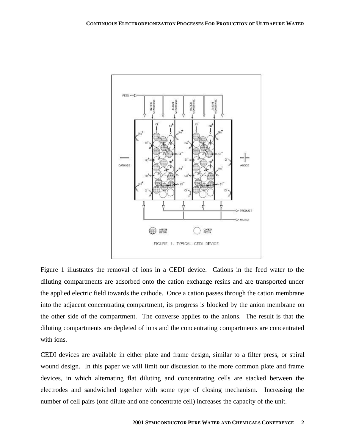

Figure 1 illustrates the removal of ions in a CEDI device. Cations in the feed water to the diluting compartments are adsorbed onto the cation exchange resins and are transported under the applied electric field towards the cathode. Once a cation passes through the cation membrane into the adjacent concentrating compartment, its progress is blocked by the anion membrane on the other side of the compartment. The converse applies to the anions. The result is that the diluting compartments are depleted of ions and the concentrating compartments are concentrated with ions.

CEDI devices are available in either plate and frame design, similar to a filter press, or spiral wound design. In this paper we will limit our discussion to the more common plate and frame devices, in which alternating flat diluting and concentrating cells are stacked between the electrodes and sandwiched together with some type of closing mechanism. Increasing the number of cell pairs (one dilute and one concentrate cell) increases the capacity of the unit.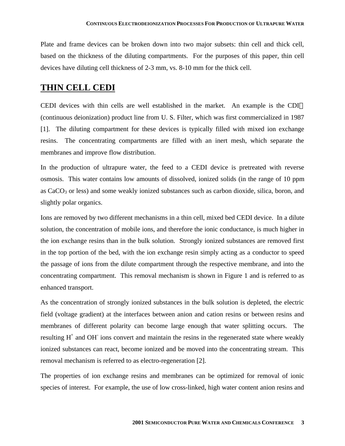Plate and frame devices can be broken down into two major subsets: thin cell and thick cell, based on the thickness of the diluting compartments. For the purposes of this paper, thin cell devices have diluting cell thickness of 2-3 mm, vs. 8-10 mm for the thick cell.

### **THIN CELL CEDI**

CEDI devices with thin cells are well established in the market. An example is the CDI<sup>TM</sup> (continuous deionization) product line from U. S. Filter, which was first commercialized in 1987 [1]. The diluting compartment for these devices is typically filled with mixed ion exchange resins. The concentrating compartments are filled with an inert mesh, which separate the membranes and improve flow distribution.

In the production of ultrapure water, the feed to a CEDI device is pretreated with reverse osmosis. This water contains low amounts of dissolved, ionized solids (in the range of 10 ppm as CaCO<sub>3</sub> or less) and some weakly ionized substances such as carbon dioxide, silica, boron, and slightly polar organics.

Ions are removed by two different mechanisms in a thin cell, mixed bed CEDI device. In a dilute solution, the concentration of mobile ions, and therefore the ionic conductance, is much higher in the ion exchange resins than in the bulk solution. Strongly ionized substances are removed first in the top portion of the bed, with the ion exchange resin simply acting as a conductor to speed the passage of ions from the dilute compartment through the respective membrane, and into the concentrating compartment. This removal mechanism is shown in Figure 1 and is referred to as enhanced transport.

As the concentration of strongly ionized substances in the bulk solution is depleted, the electric field (voltage gradient) at the interfaces between anion and cation resins or between resins and membranes of different polarity can become large enough that water splitting occurs. The resulting  $H^+$  and OH<sup>-</sup> ions convert and maintain the resins in the regenerated state where weakly ionized substances can react, become ionized and be moved into the concentrating stream. This removal mechanism is referred to as electro-regeneration [2].

The properties of ion exchange resins and membranes can be optimized for removal of ionic species of interest. For example, the use of low cross-linked, high water content anion resins and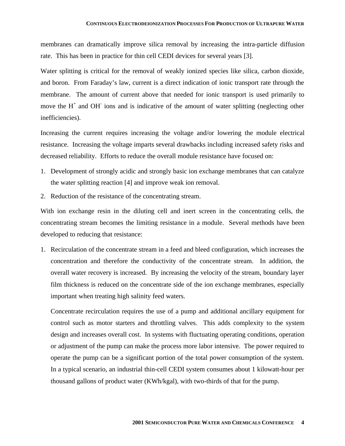#### **CONTINUOUS ELECTRODEIONIZATION PROCESSES FOR PRODUCTION OF ULTRAPURE WATER**

membranes can dramatically improve silica removal by increasing the intra-particle diffusion rate. This has been in practice for thin cell CEDI devices for several years [3].

Water splitting is critical for the removal of weakly ionized species like silica, carbon dioxide, and boron. From Faraday's law, current is a direct indication of ionic transport rate through the membrane. The amount of current above that needed for ionic transport is used primarily to move the  $H^+$  and OH<sup>-</sup> ions and is indicative of the amount of water splitting (neglecting other inefficiencies).

Increasing the current requires increasing the voltage and/or lowering the module electrical resistance. Increasing the voltage imparts several drawbacks including increased safety risks and decreased reliability. Efforts to reduce the overall module resistance have focused on:

- 1. Development of strongly acidic and strongly basic ion exchange membranes that can catalyze the water splitting reaction [4] and improve weak ion removal.
- 2. Reduction of the resistance of the concentrating stream.

With ion exchange resin in the diluting cell and inert screen in the concentrating cells, the concentrating stream becomes the limiting resistance in a module. Several methods have been developed to reducing that resistance:

1. Recirculation of the concentrate stream in a feed and bleed configuration, which increases the concentration and therefore the conductivity of the concentrate stream. In addition, the overall water recovery is increased. By increasing the velocity of the stream, boundary layer film thickness is reduced on the concentrate side of the ion exchange membranes, especially important when treating high salinity feed waters.

Concentrate recirculation requires the use of a pump and additional ancillary equipment for control such as motor starters and throttling valves. This adds complexity to the system design and increases overall cost. In systems with fluctuating operating conditions, operation or adjustment of the pump can make the process more labor intensive. The power required to operate the pump can be a significant portion of the total power consumption of the system. In a typical scenario, an industrial thin-cell CEDI system consumes about 1 kilowatt-hour per thousand gallons of product water (KWh/kgal), with two-thirds of that for the pump.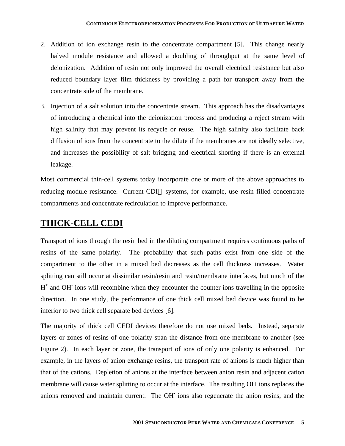- 2. Addition of ion exchange resin to the concentrate compartment [5]. This change nearly halved module resistance and allowed a doubling of throughput at the same level of deionization. Addition of resin not only improved the overall electrical resistance but also reduced boundary layer film thickness by providing a path for transport away from the concentrate side of the membrane.
- 3. Injection of a salt solution into the concentrate stream. This approach has the disadvantages of introducing a chemical into the deionization process and producing a reject stream with high salinity that may prevent its recycle or reuse. The high salinity also facilitate back diffusion of ions from the concentrate to the dilute if the membranes are not ideally selective, and increases the possibility of salt bridging and electrical shorting if there is an external leakage.

Most commercial thin-cell systems today incorporate one or more of the above approaches to reducing module resistance. Current CDI™ systems, for example, use resin filled concentrate compartments and concentrate recirculation to improve performance.

### **THICK-CELL CEDI**

Transport of ions through the resin bed in the diluting compartment requires continuous paths of resins of the same polarity. The probability that such paths exist from one side of the compartment to the other in a mixed bed decreases as the cell thickness increases. Water splitting can still occur at dissimilar resin/resin and resin/membrane interfaces, but much of the H<sup>+</sup> and OH<sup>-</sup> ions will recombine when they encounter the counter ions travelling in the opposite direction. In one study, the performance of one thick cell mixed bed device was found to be inferior to two thick cell separate bed devices [6].

The majority of thick cell CEDI devices therefore do not use mixed beds. Instead, separate layers or zones of resins of one polarity span the distance from one membrane to another (see Figure 2). In each layer or zone, the transport of ions of only one polarity is enhanced. For example, in the layers of anion exchange resins, the transport rate of anions is much higher than that of the cations. Depletion of anions at the interface between anion resin and adjacent cation membrane will cause water splitting to occur at the interface. The resulting OH- ions replaces the anions removed and maintain current. The OH-ions also regenerate the anion resins, and the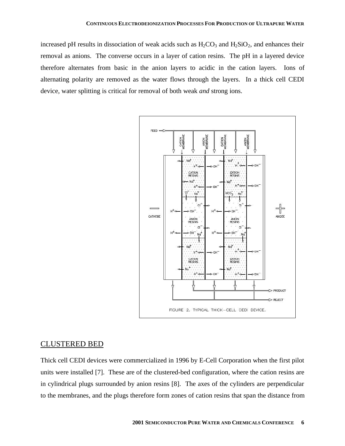increased pH results in dissociation of weak acids such as  $H_2CO_3$  and  $H_2SiO_2$ , and enhances their removal as anions. The converse occurs in a layer of cation resins. The pH in a layered device therefore alternates from basic in the anion layers to acidic in the cation layers. Ions of alternating polarity are removed as the water flows through the layers. In a thick cell CEDI device, water splitting is critical for removal of both weak *and* strong ions.



#### CLUSTERED BED

Thick cell CEDI devices were commercialized in 1996 by E-Cell Corporation when the first pilot units were installed [7]. These are of the clustered-bed configuration, where the cation resins are in cylindrical plugs surrounded by anion resins [8]. The axes of the cylinders are perpendicular to the membranes, and the plugs therefore form zones of cation resins that span the distance from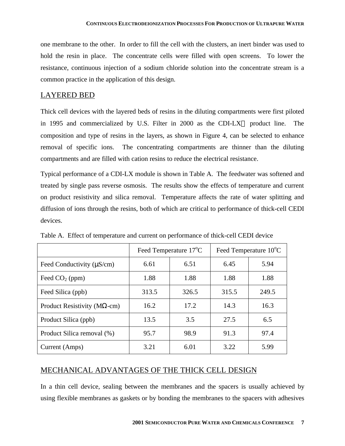one membrane to the other. In order to fill the cell with the clusters, an inert binder was used to hold the resin in place. The concentrate cells were filled with open screens. To lower the resistance, continuous injection of a sodium chloride solution into the concentrate stream is a common practice in the application of this design.

### LAYERED BED

Thick cell devices with the layered beds of resins in the diluting compartments were first piloted in 1995 and commercialized by U.S. Filter in 2000 as the CDI-LX<sup>™</sup> product line. The composition and type of resins in the layers, as shown in Figure 4, can be selected to enhance removal of specific ions. The concentrating compartments are thinner than the diluting compartments and are filled with cation resins to reduce the electrical resistance.

Typical performance of a CDI-LX module is shown in Table A. The feedwater was softened and treated by single pass reverse osmosis. The results show the effects of temperature and current on product resistivity and silica removal. Temperature affects the rate of water splitting and diffusion of ions through the resins, both of which are critical to performance of thick-cell CEDI devices.

|                                      |       | Feed Temperature 17 <sup>o</sup> C | Feed Temperature 10 <sup>o</sup> C |       |  |
|--------------------------------------|-------|------------------------------------|------------------------------------|-------|--|
| Feed Conductivity ( $\mu$ S/cm)      | 6.61  | 6.51                               | 6.45                               | 5.94  |  |
| Feed $CO2$ (ppm)                     | 1.88  | 1.88                               | 1.88                               | 1.88  |  |
| Feed Silica (ppb)                    | 313.5 | 326.5                              | 315.5                              | 249.5 |  |
| Product Resistivity ( $M\Omega$ -cm) | 16.2  | 17.2                               | 14.3                               | 16.3  |  |
| Product Silica (ppb)                 | 13.5  | 3.5                                | 27.5                               | 6.5   |  |
| Product Silica removal (%)           | 95.7  | 98.9                               | 91.3                               | 97.4  |  |
| Current (Amps)                       | 3.21  | 6.01                               | 3.22                               | 5.99  |  |

Table A. Effect of temperature and current on performance of thick-cell CEDI device

### MECHANICAL ADVANTAGES OF THE THICK CELL DESIGN

In a thin cell device, sealing between the membranes and the spacers is usually achieved by using flexible membranes as gaskets or by bonding the membranes to the spacers with adhesives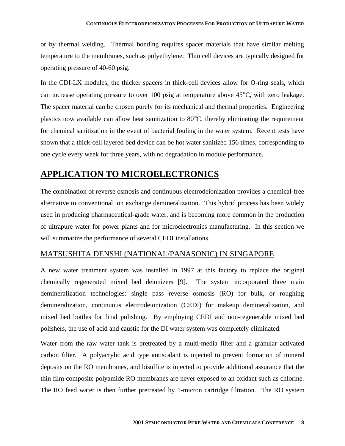#### **CONTINUOUS ELECTRODEIONIZATION PROCESSES FOR PRODUCTION OF ULTRAPURE WATER**

or by thermal welding. Thermal bonding requires spacer materials that have similar melting temperature to the membranes, such as polyethylene. Thin cell devices are typically designed for operating pressure of 40-60 psig.

In the CDI-LX modules, the thicker spacers in thick-cell devices allow for O-ring seals, which can increase operating pressure to over 100 psig at temperature above 45°C, with zero leakage. The spacer material can be chosen purely for its mechanical and thermal properties. Engineering plastics now available can allow heat sanitization to 80°C, thereby eliminating the requirement for chemical sanitization in the event of bacterial fouling in the water system. Recent tests have shown that a thick-cell layered bed device can be hot water sanitized 156 times, corresponding to one cycle every week for three years, with no degradation in module performance.

### **APPLICATION TO MICROELECTRONICS**

The combination of reverse osmosis and continuous electrodeionization provides a chemical-free alternative to conventional ion exchange demineralization. This hybrid process has been widely used in producing pharmaceutical-grade water, and is becoming more common in the production of ultrapure water for power plants and for microelectronics manufacturing. In this section we will summarize the performance of several CEDI installations.

### MATSUSHITA DENSHI (NATIONAL/PANASONIC) IN SINGAPORE

A new water treatment system was installed in 1997 at this factory to replace the original chemically regenerated mixed bed deionizers [9]. The system incorporated three main demineralization technologies: single pass reverse osmosis (RO) for bulk, or roughing demineralization, continuous electrodeionization (CEDI) for makeup demineralization, and mixed bed bottles for final polishing. By employing CEDI and non-regenerable mixed bed polishers, the use of acid and caustic for the DI water system was completely eliminated.

Water from the raw water tank is pretreated by a multi-media filter and a granular activated carbon filter. A polyacrylic acid type antiscalant is injected to prevent formation of mineral deposits on the RO membranes, and bisulfite is injected to provide additional assurance that the thin film composite polyamide RO membranes are never exposed to an oxidant such as chlorine. The RO feed water is then further pretreated by 1-micron cartridge filtration. The RO system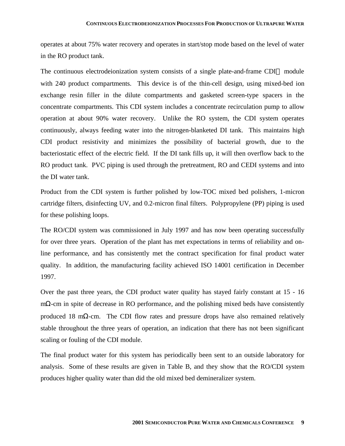operates at about 75% water recovery and operates in start/stop mode based on the level of water in the RO product tank.

The continuous electrodeionization system consists of a single plate-and-frame CDI<sup> $M$ </sup> module with 240 product compartments. This device is of the thin-cell design, using mixed-bed ion exchange resin filler in the dilute compartments and gasketed screen-type spacers in the concentrate compartments. This CDI system includes a concentrate recirculation pump to allow operation at about 90% water recovery. Unlike the RO system, the CDI system operates continuously, always feeding water into the nitrogen-blanketed DI tank. This maintains high CDI product resistivity and minimizes the possibility of bacterial growth, due to the bacteriostatic effect of the electric field. If the DI tank fills up, it will then overflow back to the RO product tank. PVC piping is used through the pretreatment, RO and CEDI systems and into the DI water tank.

Product from the CDI system is further polished by low-TOC mixed bed polishers, 1-micron cartridge filters, disinfecting UV, and 0.2-micron final filters. Polypropylene (PP) piping is used for these polishing loops.

The RO/CDI system was commissioned in July 1997 and has now been operating successfully for over three years. Operation of the plant has met expectations in terms of reliability and online performance, and has consistently met the contract specification for final product water quality. In addition, the manufacturing facility achieved ISO 14001 certification in December 1997.

Over the past three years, the CDI product water quality has stayed fairly constant at 15 - 16 mΩ-cm in spite of decrease in RO performance, and the polishing mixed beds have consistently produced 18 m $\Omega$ -cm. The CDI flow rates and pressure drops have also remained relatively stable throughout the three years of operation, an indication that there has not been significant scaling or fouling of the CDI module.

The final product water for this system has periodically been sent to an outside laboratory for analysis. Some of these results are given in Table B, and they show that the RO/CDI system produces higher quality water than did the old mixed bed demineralizer system.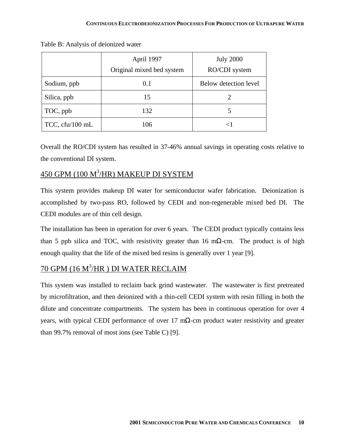|                 | April 1997                | <b>July 2000</b>      |  |  |
|-----------------|---------------------------|-----------------------|--|--|
|                 | Original mixed bed system | RO/CDI system         |  |  |
| Sodium, ppb     | 0.1                       | Below detection level |  |  |
| Silica, ppb     | 15                        |                       |  |  |
| TOC, ppb        | 132                       |                       |  |  |
| TCC, cfu/100 mL | 106                       | $<$ 1                 |  |  |

Table B: Analysis of deionized water

Overall the RO/CDI system has resulted in 37-46% annual savings in operating costs relative to the conventional DI system.

## 450 GPM (100 M<sup>3</sup>/HR) MAKEUP DI SYSTEM

This system provides makeup DI water for semiconductor wafer fabrication. Deionization is accomplished by two-pass RO, followed by CEDI and non-regenerable mixed bed DI. The CEDI modules are of thin cell design.

The installation has been in operation for over 6 years. The CEDI product typically contains less than 5 ppb silica and TOC, with resistivity greater than 16 m $\Omega$ -cm. The product is of high enough quality that the life of the mixed bed resins is generally over 1 year [9].

### <u>70 GPM (16 M<sup>3</sup>/HR ) DI WATER RECLAIM</u>

This system was installed to reclaim back grind wastewater. The wastewater is first pretreated by microfiltration, and then deionized with a thin-cell CEDI system with resin filling in both the dilute and concentrate compartments. The system has been in continuous operation for over 4 years, with typical CEDI performance of over 17 mΩ-cm product water resistivity and greater than 99.7% removal of most ions (see Table C) [9].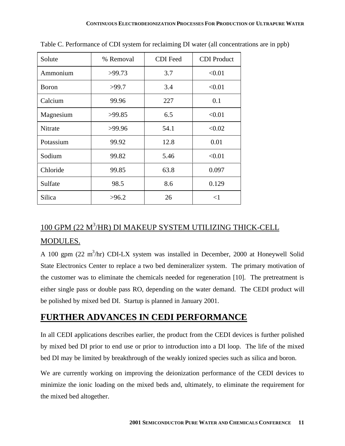| Solute       | % Removal | <b>CDI</b> Feed | <b>CDI</b> Product |
|--------------|-----------|-----------------|--------------------|
| Ammonium     | >99.73    | 3.7             | < 0.01             |
| <b>Boron</b> | >99.7     | 3.4             | < 0.01             |
| Calcium      | 99.96     | 227             | 0.1                |
| Magnesium    | >99.85    | 6.5             | < 0.01             |
| Nitrate      | >99.96    | 54.1            | < 0.02             |
| Potassium    | 99.92     | 12.8            | 0.01               |
| Sodium       | 99.82     | 5.46            | < 0.01             |
| Chloride     | 99.85     | 63.8            | 0.097              |
| Sulfate      | 98.5      | 8.6             | 0.129              |
| Silica       | >96.2     | 26              | $<$ 1              |

Table C. Performance of CDI system for reclaiming DI water (all concentrations are in ppb)

# 100 GPM (22 M<sup>3</sup>/HR) DI MAKEUP SYSTEM UTILIZING THICK-CELL MODULES.

A 100 gpm  $(22 \text{ m}^3/\text{hr})$  CDI-LX system was installed in December, 2000 at Honeywell Solid State Electronics Center to replace a two bed demineralizer system. The primary motivation of the customer was to eliminate the chemicals needed for regeneration [10]. The pretreatment is either single pass or double pass RO, depending on the water demand. The CEDI product will be polished by mixed bed DI. Startup is planned in January 2001.

### **FURTHER ADVANCES IN CEDI PERFORMANCE**

In all CEDI applications describes earlier, the product from the CEDI devices is further polished by mixed bed DI prior to end use or prior to introduction into a DI loop. The life of the mixed bed DI may be limited by breakthrough of the weakly ionized species such as silica and boron.

We are currently working on improving the deionization performance of the CEDI devices to minimize the ionic loading on the mixed beds and, ultimately, to eliminate the requirement for the mixed bed altogether.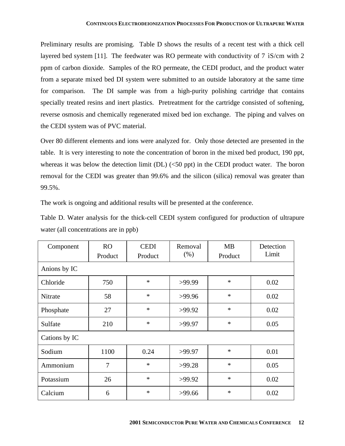Preliminary results are promising. Table D shows the results of a recent test with a thick cell layered bed system [11]. The feedwater was RO permeate with conductivity of 7  $\delta$ S/cm with 2 ppm of carbon dioxide. Samples of the RO permeate, the CEDI product, and the product water from a separate mixed bed DI system were submitted to an outside laboratory at the same time for comparison. The DI sample was from a high-purity polishing cartridge that contains specially treated resins and inert plastics. Pretreatment for the cartridge consisted of softening, reverse osmosis and chemically regenerated mixed bed ion exchange. The piping and valves on the CEDI system was of PVC material.

Over 80 different elements and ions were analyzed for. Only those detected are presented in the table. It is very interesting to note the concentration of boron in the mixed bed product, 190 ppt, whereas it was below the detection limit  $(DL)$  ( $\leq$ 50 ppt) in the CEDI product water. The boron removal for the CEDI was greater than 99.6% and the silicon (silica) removal was greater than 99.5%.

The work is ongoing and additional results will be presented at the conference.

|                                       |  |  |  |  | Table D. Water analysis for the thick-cell CEDI system configured for production of ultrapure |  |
|---------------------------------------|--|--|--|--|-----------------------------------------------------------------------------------------------|--|
| water (all concentrations are in ppb) |  |  |  |  |                                                                                               |  |

| Component     | <b>RO</b><br>Product | <b>CEDI</b><br>Product | Removal<br>$(\% )$ | <b>MB</b><br>Product | Detection<br>Limit |  |  |
|---------------|----------------------|------------------------|--------------------|----------------------|--------------------|--|--|
| Anions by IC  |                      |                        |                    |                      |                    |  |  |
| Chloride      | 750                  | $\ast$                 | >99.99             | $\ast$               | 0.02               |  |  |
| Nitrate       | 58                   | $\ast$                 | >99.96             | $\ast$               | 0.02               |  |  |
| Phosphate     | 27                   | $\ast$                 | >99.92             | $\ast$               | 0.02               |  |  |
| Sulfate       | 210                  | $\ast$                 | >99.97             | $\ast$               | 0.05               |  |  |
| Cations by IC |                      |                        |                    |                      |                    |  |  |
| Sodium        | 1100                 | 0.24                   | >99.97             | $\ast$               | 0.01               |  |  |
| Ammonium      | $\overline{7}$       | $\ast$                 | >99.28             | $\ast$               | 0.05               |  |  |
| Potassium     | 26                   | $\ast$                 | >99.92             | $\ast$               | 0.02               |  |  |
| Calcium       | 6                    | $\ast$                 | >99.66             | $\ast$               | 0.02               |  |  |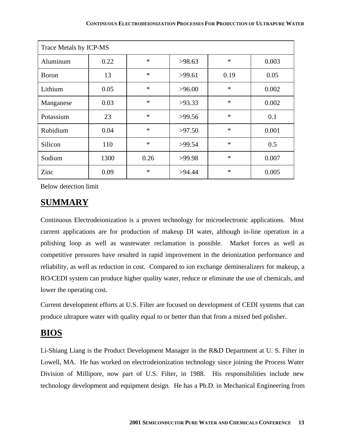| Trace Metals by ICP-MS |      |        |        |        |       |  |  |
|------------------------|------|--------|--------|--------|-------|--|--|
| Aluminum               | 0.22 | $\ast$ | >98.63 | $\ast$ | 0.003 |  |  |
| <b>Boron</b>           | 13   | $\ast$ | >99.61 | 0.19   | 0.05  |  |  |
| Lithium                | 0.05 | $\ast$ | >96.00 | $\ast$ | 0.002 |  |  |
| Manganese              | 0.03 | $\ast$ | >93.33 | $\ast$ | 0.002 |  |  |
| Potassium              | 23   | $\ast$ | >99.56 | $\ast$ | 0.1   |  |  |
| Rubidium               | 0.04 | $\ast$ | >97.50 | $\ast$ | 0.001 |  |  |
| Silicon                | 110  | $\ast$ | >99.54 | $\ast$ | 0.5   |  |  |
| Sodium                 | 1300 | 0.26   | >99.98 | $\ast$ | 0.007 |  |  |
| Zinc                   | 0.09 | $\ast$ | >94.44 | $\ast$ | 0.005 |  |  |

Below detection limit

## **SUMMARY**

Continuous Electrodeionization is a proven technology for microelectronic applications. Most current applications are for production of makeup DI water, although in-line operation in a polishing loop as well as wastewater reclamation is possible. Market forces as well as competitive pressures have resulted in rapid improvement in the deionization performance and reliability, as well as reduction in cost. Compared to ion exchange demineralizers for makeup, a RO/CEDI system can produce higher quality water, reduce or eliminate the use of chemicals, and lower the operating cost.

Current development efforts at U.S. Filter are focused on development of CEDI systems that can produce ultrapure water with quality equal to or better than that from a mixed bed polisher.

### **BIOS**

Li-Shiang Liang is the Product Development Manager in the R&D Department at U. S. Filter in Lowell, MA. He has worked on electrodeionization technology since joining the Process Water Division of Millipore, now part of U.S. Filter, in 1988. His responsibilities include new technology development and equipment design. He has a Ph.D. in Mechanical Engineering from